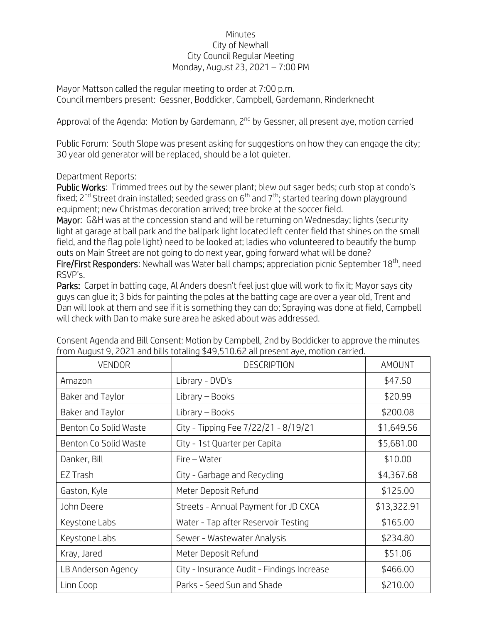## Minutes City of Newhall City Council Regular Meeting Monday, August 23, 2021 – 7:00 PM

Mayor Mattson called the regular meeting to order at 7:00 p.m. Council members present: Gessner, Boddicker, Campbell, Gardemann, Rinderknecht

Approval of the Agenda: Motion by Gardemann, 2<sup>nd</sup> by Gessner, all present aye, motion carried

Public Forum: South Slope was present asking for suggestions on how they can engage the city; 30 year old generator will be replaced, should be a lot quieter.

## Department Reports:

Public Works: Trimmed trees out by the sewer plant; blew out sager beds; curb stop at condo's fixed;  $2^{nd}$  Street drain installed; seeded grass on  $6^{th}$  and  $7^{th}$ ; started tearing down playground equipment; new Christmas decoration arrived; tree broke at the soccer field.

Mayor: G&H was at the concession stand and will be returning on Wednesday; lights (security light at garage at ball park and the ballpark light located left center field that shines on the small field, and the flag pole light) need to be looked at; ladies who volunteered to beautify the bump outs on Main Street are not going to do next year, going forward what will be done?

Fire/First Responders: Newhall was Water ball champs; appreciation picnic September 18<sup>th</sup>, need RSVP's.

Parks: Carpet in batting cage, Al Anders doesn't feel just glue will work to fix it; Mayor says city guys can glue it; 3 bids for painting the poles at the batting cage are over a year old, Trent and Dan will look at them and see if it is something they can do; Spraying was done at field, Campbell will check with Dan to make sure area he asked about was addressed.

| <b>VENDOR</b>         | <b>DESCRIPTION</b>                         | AMOUNT      |
|-----------------------|--------------------------------------------|-------------|
| Amazon                | Library - DVD's                            | \$47.50     |
| Baker and Taylor      | Library - Books                            | \$20.99     |
| Baker and Taylor      | Library – Books                            | \$200.08    |
| Benton Co Solid Waste | City - Tipping Fee 7/22/21 - 8/19/21       | \$1,649.56  |
| Benton Co Solid Waste | City - 1st Quarter per Capita              | \$5,681.00  |
| Danker, Bill          | Fire - Water                               | \$10.00     |
| EZ Trash              | City - Garbage and Recycling               | \$4,367.68  |
| Gaston, Kyle          | Meter Deposit Refund                       | \$125.00    |
| John Deere            | Streets - Annual Payment for JD CXCA       | \$13,322.91 |
| Keystone Labs         | Water - Tap after Reservoir Testing        | \$165.00    |
| Keystone Labs         | Sewer - Wastewater Analysis                | \$234.80    |
| Kray, Jared           | Meter Deposit Refund                       | \$51.06     |
| LB Anderson Agency    | City - Insurance Audit - Findings Increase | \$466.00    |
| Linn Coop             | Parks - Seed Sun and Shade                 | \$210.00    |

Consent Agenda and Bill Consent: Motion by Campbell, 2nd by Boddicker to approve the minutes from August 9, 2021 and bills totaling \$49,510.62 all present aye, motion carried.